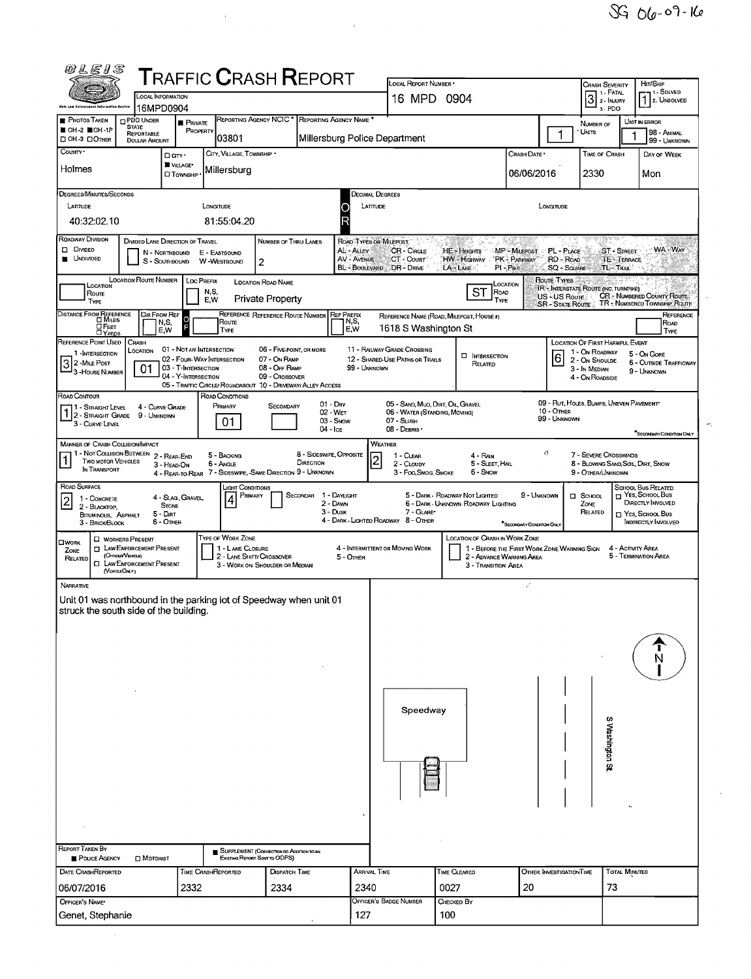| 0 L E I S                                                                                                  |                                                                                                                         |                                                                          |                                                                    | $\sf{T}$ RAFFIC $\sf{C}$ RASH $\sf{R}$ EPORT                                                                   |                                      | LOCAL REPORT NUMBER *                                                                     |                                                                       |                                                                                                         | Crash Severity                                                                   | Hrt/SkiP                                                                                                        |
|------------------------------------------------------------------------------------------------------------|-------------------------------------------------------------------------------------------------------------------------|--------------------------------------------------------------------------|--------------------------------------------------------------------|----------------------------------------------------------------------------------------------------------------|--------------------------------------|-------------------------------------------------------------------------------------------|-----------------------------------------------------------------------|---------------------------------------------------------------------------------------------------------|----------------------------------------------------------------------------------|-----------------------------------------------------------------------------------------------------------------|
|                                                                                                            | LOCAL INFORMATION                                                                                                       |                                                                          |                                                                    |                                                                                                                |                                      | 16 MPD 0904                                                                               |                                                                       |                                                                                                         | $31. FATAL$<br>2. INJURY                                                         | 1 SOLVED<br>2. UNSOLVED                                                                                         |
| <b>PHOTOS TAKEN</b>                                                                                        | 16MPD0904<br>PDO UNDER                                                                                                  |                                                                          |                                                                    | REPORTING AGENCY NCIC * REPORTING AGENCY NAME *                                                                |                                      |                                                                                           |                                                                       |                                                                                                         | 3-PDO                                                                            | UNIT IN ERROR                                                                                                   |
| OH -2 LOH -1P<br>□ ОН-3 □ Отнев                                                                            | <b>STATE</b><br><b>REPORTABLE</b><br><b>DOLLAR AMOUNT</b>                                                               | <b>PRIVATE</b><br>PROPERTY                                               | 03801                                                              |                                                                                                                |                                      | Millersburg Police Department                                                             |                                                                       | 1                                                                                                       | NUMBER OF<br>UNITS                                                               | 98 - ANIMAL<br>99 - UNKNOWN                                                                                     |
| County .<br>Holmes                                                                                         | D any ·                                                                                                                 | VILLAGE*                                                                 | CITY, VILLAGE, TOWNSHIP *                                          |                                                                                                                |                                      |                                                                                           |                                                                       | CRASH DATE *                                                                                            | TIME OF CRASH                                                                    | DAY OF WEEK                                                                                                     |
|                                                                                                            |                                                                                                                         | <b>CI TOWNSHIP</b>                                                       | Millersburg                                                        |                                                                                                                |                                      |                                                                                           |                                                                       | 06/06/2016                                                                                              | 2330                                                                             | Mon                                                                                                             |
| <b>DEGREES/MINUTES/SECONDS</b><br>LATTUDE                                                                  |                                                                                                                         | LONGITUDE                                                                |                                                                    |                                                                                                                |                                      | DECIMAL DEGREES<br>LATITUDE                                                               |                                                                       | LONGITUDE                                                                                               |                                                                                  |                                                                                                                 |
| 40:32:02.10                                                                                                |                                                                                                                         |                                                                          | 81:55:04.20                                                        |                                                                                                                |                                      |                                                                                           |                                                                       |                                                                                                         |                                                                                  |                                                                                                                 |
| ROADWAY DIVISION<br>DI DIVIDED<br><b>UNDIVIDED</b>                                                         | DIVIDED LANE DIRECTION OF TRAVEL<br>S - SOUTHBOUND                                                                      | N - NORTHBOUND E - EASTBOUND<br>W -WESTBOUND                             | $\overline{c}$                                                     | NUMBER OF THRU LANES                                                                                           | AL - Attey<br><b>AV - AVENUE</b>     | ROAD TYPES OR MILEPOST.<br><b>CR-CIRCLE</b><br>CT - Court<br><b>BL-BOOLEVARD DR-DRIVE</b> | HE - Hearts<br>HW - Highway<br>LA - LANE                              | MP-MILEPOST<br>PL - PLACE<br><b>PK-PARKWAY</b><br>RD - ROAD<br>SQ - SQUARE<br>$PI - P$ <sub>i</sub> $E$ | <b>ST - STREET</b><br><b>TE-TERRACE</b><br>TL-TRAIL                              | WA-WAY                                                                                                          |
| LOCATION<br>Roune<br>TYPE                                                                                  | LOCATION ROUTE NUMBER   LOC PREFIX                                                                                      | N,S,<br>E,W                                                              | LOCATION ROAD NAME                                                 | <b>Private Property</b>                                                                                        |                                      |                                                                                           | ST<br>ROAD<br>TYPE                                                    | Route Types<br>Location<br>US - US Route                                                                | IR - INTERSTATE ROUTE (INC. TURNPIKE)                                            | CR - NUMBERED COUNTY ROUTE<br>SR - STATE ROUTE TR - NUMBERED TOWNSHIP ROUTE                                     |
| DISTANCE FROM REFERENCE<br>$D$ Feet                                                                        | DIR FROM REF<br>N,S,                                                                                                    | O                                                                        | Route                                                              | REFERENCE REFERENCE ROUTE NUMBER                                                                               | <b>REF PREFIX</b><br>N,S,<br>E.W     | 1618 S Washington St                                                                      | REFERENCE NAME (ROAD, MILEPOST, HOUSE #)                              |                                                                                                         |                                                                                  | REFERENCE<br>Road                                                                                               |
| $\square$ $Y_{ARS}$<br>REFERENCE POINT USED                                                                | E,W<br>CRASH                                                                                                            | 01 - NOT AN INTERSECTION                                                 | TYPE                                                               | 06 - FIVE-POINT, OR MORE                                                                                       |                                      | 11 - RAILWAY GRADE CROSSING                                                               |                                                                       |                                                                                                         | LOCATION OF FIRST HARMFUL EVENT                                                  | TYPE                                                                                                            |
| 1 - INTERSECTION<br>$3^2$ -Mile Post<br><sup>1</sup> 3 - House Number                                      | LOCATION<br>01                                                                                                          | 02 - FOUR-WAY INTERSECTION<br>03 - T-INTERSECTION<br>04 - Y-INTERSECTION |                                                                    | 07 - On RAMP<br>08 - Off RAMP<br>09 - Crossover<br>05 - TRAFFIC CIRCLE/ ROUNDABOUT 10 - DRIVEWAY/ ALLEY ACCESS | 99 - UNKNOWN                         | 12 - SHARED-USE PATHS OR TRAILS                                                           | <b>INTERSECTION</b><br>RELATED                                        | 6                                                                                                       | 1 - On ROADWAY<br>2 - ON SHOULDE<br>3 - In MEDIAN<br>4 - On ROADSIDE             | 5 - On Gore<br><b>6 - OUTSIDE TRAFFICWAY</b><br>9 - UNKNOWN                                                     |
| ROAD CONTOUR<br>1 - Straight Level<br>1 2 - STRAIGHT GRADE 9 - UNKNOWN                                     | 4 - CURVE GRADE                                                                                                         |                                                                          | ROAD CONDITIONS<br>PRIMARY                                         | <b>SECONDARY</b>                                                                                               | $01 - D$ RY<br>02 - WET              | 05 - SAND, MUD, DIRT, OIL, GRAVEL<br>06 - WATER (STANDING, MOVING)                        |                                                                       | 10 - OTHER                                                                                              | 09 - RUT, HOLES, BUMPS, UNEVEN PAVEMENT                                          |                                                                                                                 |
| 3 - CURVE LEVEL                                                                                            |                                                                                                                         |                                                                          | 01                                                                 |                                                                                                                | 03 - Snow<br>04 - Ice                | 07 - SLUSH<br>08 - DEBRIS ·                                                               |                                                                       | 99 - UNKNOWN                                                                                            |                                                                                  | "SECONDARY CONDITION ONLY                                                                                       |
| <b>MANNER OF CRASH COLLISION/IMPACT</b><br><b>TWO MOTOR VEHICLES</b><br>In TRANSPORT                       | 1 - Not Collision BETWEEN 2 - REAR-END<br>3 - HEAD-ON                                                                   |                                                                          | 5 - BACKING<br>6 - Angle                                           | DIRECTION<br>4 - REAR-TO-REAR 7 - SIDESWIPE, SAME DIRECTION 9 - UNKNOWN                                        | 8 - SIDESWPE, OPPOSITE               | <b>WEATHER</b><br>1 - CLEAR<br>$\overline{c}$<br>2 - CLOUDY<br>3 - Fog Smog, Smoke        | 4 - RAN<br>5 - SLEET, HAIL<br>6 - Snow                                | 0                                                                                                       | 7 - SEVERE CROSSWINDS<br>8 - BLOWING SAND, SOIL, DIRT, SNOW<br>9 - Other/Unknown |                                                                                                                 |
| ROAD SURFACE<br>1 - CONCRETE<br>$\vert$ 2<br>2 - BLACKTOP<br><b>BITUMINOUS, ASPHALT</b><br>3 - BRICK/BLOCK | <b>STONE</b><br>$5 -$ Dirt<br>6 - OTHER                                                                                 | 4 - SLAG, GRAVEL                                                         | LIGHT CONDITIONS<br>PRIMARY                                        | Secondar                                                                                                       | 1 - DAYLIGHT<br>2 - DAWN<br>3 - Dusk | 7 - GLARE*<br>4 - DARK - LIGHTED ROADWAY 8 - OTHER                                        | 5 - DARK - ROADWAY NOT LIGHTED<br>6 - DARK - UNKNOWN ROADWAY LIGHTING | 9 - UNKNOWN<br><sup>*</sup> SECONDARY CONDITION ONLY                                                    | $\Box$ SCHOOL<br>ZONE<br>RELATED                                                 | SCHOOL BUS RELATED<br>T YES, SCHOOL BUS<br>DIRECTLY INVOLVED<br>□ YEs, School Bus<br><b>INDIRECTLY INVOLVED</b> |
| <b>OWORK</b><br>ZONE<br>RELATED<br>(VERGLEOMY)                                                             | <b>U</b> WORKERS PRESENT<br><b>TI LAW ENFORCEMENT PRESENT</b><br>(OFFICER/VEHICLE)<br><b>CI LAW ENFORCEMENT PRESENT</b> |                                                                          | TYPE OF WORK ZONE<br>1 - LANE CLOSURE<br>2 - LANE SHIFT/ CROSSOVER | 3 - WORK ON-SHOULDER OR MEDIAN                                                                                 | 5 - OTHER                            | 4 - INTERMITTENT OR MOVING WORK                                                           | <b>LOCATION OF CRASH IN WORK ZONE</b><br>3 - Transition Area          | 1 - BEFORE THE FIRST WORK ZONE WARNING SIGN<br>2 - ADVANCE WARMING AREA                                 |                                                                                  | 4 - ACTIVITY AREA<br>5 - TERMINATION AREA                                                                       |
| NARRATIVE<br>Unit 01 was northbound in the parking lot of Speedway when unit 01                            |                                                                                                                         |                                                                          |                                                                    |                                                                                                                |                                      |                                                                                           |                                                                       | Ż,                                                                                                      |                                                                                  |                                                                                                                 |
| struck the south side of the building.                                                                     |                                                                                                                         |                                                                          |                                                                    |                                                                                                                |                                      |                                                                                           |                                                                       |                                                                                                         |                                                                                  |                                                                                                                 |
|                                                                                                            |                                                                                                                         |                                                                          |                                                                    |                                                                                                                |                                      |                                                                                           |                                                                       |                                                                                                         |                                                                                  |                                                                                                                 |
|                                                                                                            |                                                                                                                         |                                                                          |                                                                    |                                                                                                                |                                      | Speedway                                                                                  |                                                                       |                                                                                                         |                                                                                  |                                                                                                                 |
|                                                                                                            |                                                                                                                         |                                                                          |                                                                    |                                                                                                                |                                      |                                                                                           |                                                                       |                                                                                                         | S Washington St                                                                  |                                                                                                                 |
|                                                                                                            |                                                                                                                         |                                                                          |                                                                    |                                                                                                                |                                      |                                                                                           |                                                                       |                                                                                                         |                                                                                  |                                                                                                                 |
|                                                                                                            |                                                                                                                         |                                                                          |                                                                    |                                                                                                                |                                      |                                                                                           |                                                                       |                                                                                                         |                                                                                  |                                                                                                                 |
| REPORT TAKEN BY<br>POLICE AGENCY                                                                           | <b>D</b> MOTORIST                                                                                                       |                                                                          | Existiva Report Seve to ODPS)                                      | SUPPLEMENT (CORRECTION OR ADDITION TO AN                                                                       |                                      |                                                                                           |                                                                       |                                                                                                         |                                                                                  |                                                                                                                 |
| DATE CRASHREPORTED<br>06/07/2016                                                                           |                                                                                                                         | <b>TIME CRASHREPORTED</b><br>2332                                        |                                                                    | <b>DISPATCH TIME</b><br>2334                                                                                   | 2340                                 | Arrival Time                                                                              | TIME CLEARED<br>0027                                                  | <b>OTHER INVESTIGATION TIME</b><br>20                                                                   | TOTAL MINUTES<br>73                                                              |                                                                                                                 |
| OFFICER'S NAME*                                                                                            |                                                                                                                         |                                                                          |                                                                    |                                                                                                                |                                      | OFFICER'S BADGE NUMBER                                                                    | Снескер Ву                                                            |                                                                                                         |                                                                                  |                                                                                                                 |
| Genet, Stephanie                                                                                           |                                                                                                                         |                                                                          |                                                                    |                                                                                                                | 127                                  |                                                                                           | 100                                                                   |                                                                                                         |                                                                                  |                                                                                                                 |

 $\hat{\boldsymbol{\beta}}$ 

 $\frac{1}{2}$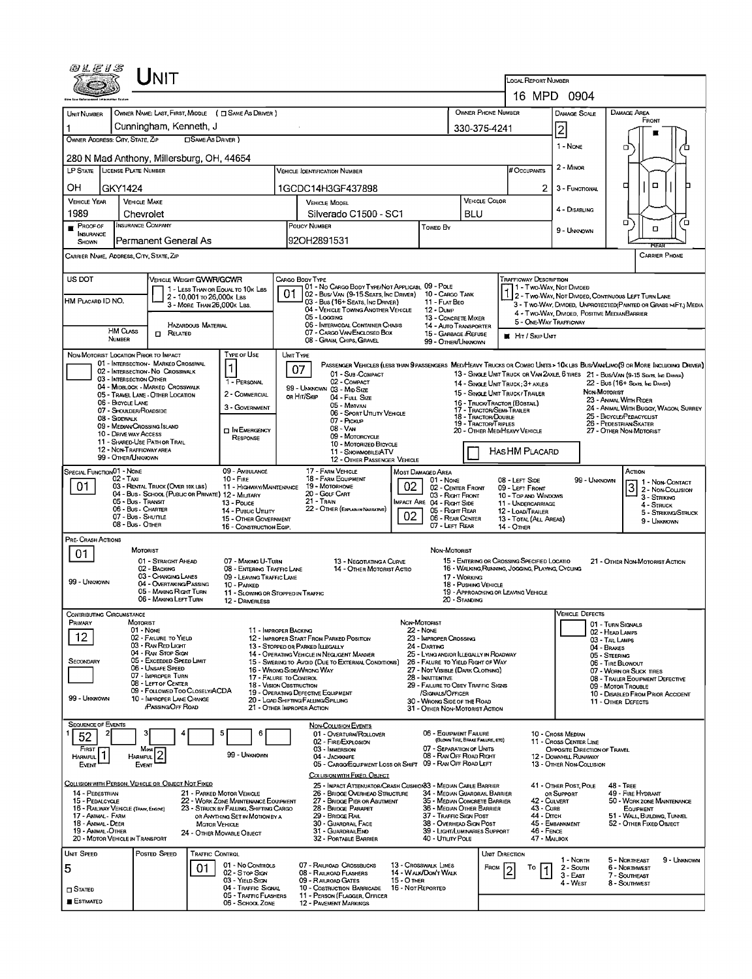| UNIT                                                                                                                                                                                                                                                                                                                                                                                                                                                                                        |                                                                                                                                                                                                                     |  |  |  |  |  |
|---------------------------------------------------------------------------------------------------------------------------------------------------------------------------------------------------------------------------------------------------------------------------------------------------------------------------------------------------------------------------------------------------------------------------------------------------------------------------------------------|---------------------------------------------------------------------------------------------------------------------------------------------------------------------------------------------------------------------|--|--|--|--|--|
|                                                                                                                                                                                                                                                                                                                                                                                                                                                                                             | <b>LOCAL REPORT NUMBER</b>                                                                                                                                                                                          |  |  |  |  |  |
| OWNER NAME: LAST, FIRST, MIDDLE ( C SAME AS DRIVER )                                                                                                                                                                                                                                                                                                                                                                                                                                        | 16 MPD 0904<br>OWNER PHONE NUMBER<br><b>DAMAGE AREA</b><br><b>DAMAGE SCALE</b>                                                                                                                                      |  |  |  |  |  |
| <b>UNIT NUMBER</b><br>Cunningham, Kenneth, J                                                                                                                                                                                                                                                                                                                                                                                                                                                | FRONT<br>2<br>330-375-4241                                                                                                                                                                                          |  |  |  |  |  |
| <b>OSAME AS DRIVER</b> )<br>OWNER ADDRESS: CITY, STATE, ZIP                                                                                                                                                                                                                                                                                                                                                                                                                                 | 1 - NONE<br>o                                                                                                                                                                                                       |  |  |  |  |  |
| 280 N Mad Anthony, Millersburg, OH, 44654                                                                                                                                                                                                                                                                                                                                                                                                                                                   |                                                                                                                                                                                                                     |  |  |  |  |  |
| LP STATE<br><b>LICENSE PLATE NUMBER</b><br><b>VEHICLE IDENTIFICATION NUMBER</b>                                                                                                                                                                                                                                                                                                                                                                                                             | 2 - MINOR<br># Occupants                                                                                                                                                                                            |  |  |  |  |  |
| ΟН<br>GKY1424<br>1GCDC14H3GF437898<br><b>VEHICLE YEAR</b>                                                                                                                                                                                                                                                                                                                                                                                                                                   | $\Box$<br>□<br>2<br>3 - FUNCTIONAL<br>VEHICLE COLOR                                                                                                                                                                 |  |  |  |  |  |
| <b>VEHICLE MAKE</b><br><b>VEHICLE MODEL</b><br>1989<br>Silverado C1500 - SC1<br>Chevrolet                                                                                                                                                                                                                                                                                                                                                                                                   | 4 - DISABLING<br>BLU                                                                                                                                                                                                |  |  |  |  |  |
| <b>INSURANCE COMPANY</b><br>POLICY NUMBER<br><b>PROOF OF</b><br><b>Towed By</b><br>INSURANCE                                                                                                                                                                                                                                                                                                                                                                                                | о<br>′ □<br>$\Box$<br>9 - UNKNOWN                                                                                                                                                                                   |  |  |  |  |  |
| 92OH2891531<br>Permanent General As<br>SHOWN                                                                                                                                                                                                                                                                                                                                                                                                                                                | <b>IKEZE</b>                                                                                                                                                                                                        |  |  |  |  |  |
| Carrier Name, Address, City, State, Zip                                                                                                                                                                                                                                                                                                                                                                                                                                                     | <b>CARRIER PHONE</b>                                                                                                                                                                                                |  |  |  |  |  |
| US DOT<br>VEHICLE WEIGHT GVWR/GCWR<br>CARGO BODY TYPE<br>01 - No CARGO BODY TYPE/NOT APPLICABL 09 - POLE<br>1 - LESS THAN OR EQUAL TO 10K LBS                                                                                                                                                                                                                                                                                                                                               | TRAFFICWAY DESCRIPTION<br>1 - Two-Way Not Divided                                                                                                                                                                   |  |  |  |  |  |
| υ.<br>02 - Bus/ VAN (9-15 SEATS, INC DRIVER)<br>2 - 10,001 To 26,000K LBS<br>HM PLACARD ID NO.<br>03 - Bus (16+ Seats, Inc Driver)<br>3 - MORE THAN 26,000K LBS.                                                                                                                                                                                                                                                                                                                            | 10 - CARGO TANK<br>1 2 - Two-Way, Not Divided, Continuous Left Turn Lane<br>11 - FLAT BEO<br>3 - Two-Way, DIMDED, UNPROTECTED (PAINTED OR GRASS > FT.) MEDIA                                                        |  |  |  |  |  |
| 04 - VEHICLE TOWING ANOTHER VEHICLE<br>05 - Logging<br>06 - INTERMODAL CONTAINER CHASIS<br><b>HAZARDOUS MATERIAL</b>                                                                                                                                                                                                                                                                                                                                                                        | 12 - Dump<br>4 - Two-Way, DIMDED, POSITIVE MEDIANBARRIER<br>13 - CONCRETE MIXER<br>5 - ONE-WAY TRAFFICWAY                                                                                                           |  |  |  |  |  |
| <b>HM CLASS</b><br>07 - CARGO VAN ENGLOSED BOX<br>$\Box$ Related<br>NUMBER<br>08 - GRAIN, CHIPS, GRAVEL                                                                                                                                                                                                                                                                                                                                                                                     | 14 - AUTO TRANSPORTER<br>15 - GARBAGE /REFUSE<br>HIT / SKIP UNIT<br>99 - OTHER/UNKNOWN                                                                                                                              |  |  |  |  |  |
| NON-MOTORIST LOCATION PRIOR TO IMPACT<br><b>TYPE OF USE</b><br>UNIT TYPE                                                                                                                                                                                                                                                                                                                                                                                                                    |                                                                                                                                                                                                                     |  |  |  |  |  |
| 01 - INTERSECTION - MARKED CROSSWAL<br>$\mathbf{1}$<br>07<br>02 - INTERSECTION - NO CROSSWALK<br>01 - Sub-COMPACT                                                                                                                                                                                                                                                                                                                                                                           | PASSENGER VEHICLES (LESS THAN 9 PASSENGERS MEDIMEAVY TRUCKS OR COMBO UNITS > 10K LBS BUS/VAN/LIMO(9 OR MORE INCLUDING DRIVER)<br>13 - SINGLE UNIT TRUCK OR VAN 2AXLE, 6 TIRES 21 - BUS/VAN (9-15 SEATS, INC DRIVER) |  |  |  |  |  |
| 03 - INTERSECTION OTHER<br>1 - PERSONAL<br>02 - COMPACT<br>04 - MIDBLOCK - MARKED CROSSWALK<br>99 - UNKNOWN 03 - MID SIZE                                                                                                                                                                                                                                                                                                                                                                   | 22 - Bus (16+ Seats, Inc Driver)<br>14 - SINGLE UNIT TRUCK: 3+ AXLES<br>NON-MOTORIST<br>15 - SINGLE UNIT TRUCK / TRAILER                                                                                            |  |  |  |  |  |
| 2 - COMMERCIAL<br>05 - TRAVEL LANE - OTHER LOCATION<br>OR HIT/SKIP<br>04 - Full Size<br>06 - BICYCLE LANE<br>05 - Minivan<br>3 - GOVERNMENT<br>07 - Shoulder/Roadside                                                                                                                                                                                                                                                                                                                       | 23 - ANIMAL WITH RIDER<br>16 - TRUCK/TRACTOR (BOBTAIL)<br>24 - ANIMAL WITH BUGGY, WAGON, SURREY<br>17 - TRACTOR/SEMI-TRAILER                                                                                        |  |  |  |  |  |
| 06 - SPORT UTILITY VEHICLE<br>08 - Sidewalk<br>07 - Pickup<br>09 - MEDIAN/CROSSING ISLAND                                                                                                                                                                                                                                                                                                                                                                                                   | 25 - BICYCLE/PEDACYCLIST<br>18 - Tractor/Double<br>26 - PEDESTRIAN SKATER<br>19 - TRACTOR/TRIPLES                                                                                                                   |  |  |  |  |  |
| 08 - VAN<br><b>IN EMERGENCY</b><br>10 - DRIVE WAY ACCESS<br>09 - MOTORCYCLE<br>RESPONSE<br>11 - SHARED-USE PATH OR TRAIL<br>10 - MOTORIZED BICYCLE                                                                                                                                                                                                                                                                                                                                          | 20 - OTHER MEDIMEAVY VEHICLE<br>27 - OTHER NON-MOTORIST                                                                                                                                                             |  |  |  |  |  |
| 12 - NON-TRAFFICWAY AREA<br>11 - SNOWMOBILE/ATV<br>99 - OTHER/UNKNOWN<br>12 - OTHER PASSENGER VEHICLE                                                                                                                                                                                                                                                                                                                                                                                       | HASHM PLACARD                                                                                                                                                                                                       |  |  |  |  |  |
| SPECIAL FUNCTION 01 - NONE<br>09 - AMBULANCE<br>17 - FARM VEHICLE<br>Most Damaged Area<br>02 - Taxi<br>$10 -$ Fire<br><b>18 - FARM EQUIPMENT</b>                                                                                                                                                                                                                                                                                                                                            | Астом<br>$01 - None$<br>08 - LEFT SIDE<br>99 - UNKNOWN                                                                                                                                                              |  |  |  |  |  |
| 02<br>01<br>03 - RENTAL TRUCK (OVER 10K LBS)<br>19 - Мотовноме<br>11 - HIGHWAY/MAINTENANCE<br>20 - GOUF CART<br>04 - Bus - SCHOOL (PUBLIC OR PRIVATE) 12 - MILITARY                                                                                                                                                                                                                                                                                                                         | 1 1 - Non-Contact<br>3<br>02 - CENTER FRONT<br>09 - LEFT FRONT<br>2 - Non-Counsion<br>03 - Right Front<br>10 - Top and WINDOWS                                                                                      |  |  |  |  |  |
| 21 - TRAN<br>05 - Bus - Transit<br>IMPACT ARE 04 - RIGHT SIDE<br>13 - Pouce<br>06 - Bus - CHARTER<br>22 - OTHER (EXPLANIN NARRATIVE)<br>14 - Pusuc Unury                                                                                                                                                                                                                                                                                                                                    | 3 - Striking<br>11 - UNDERCARRIAGE<br>4 - STRUCK<br>05 - Right Rear<br>12 - LOAD/TRAILER<br>5 - STRIKING/STRUCK                                                                                                     |  |  |  |  |  |
| 02<br>07 - Bus - SHUTTLE<br>15 - OTHER GOVERNMENT<br>08 - Bus - OTHER<br>16 - CONSTRUCTION EQIP.                                                                                                                                                                                                                                                                                                                                                                                            | 06 - REAR CENTER<br>13 - TOTAL (ALL AREAS)<br>9 - UNKNOWN<br>07 - LEFT REAR<br>14 - Отнев                                                                                                                           |  |  |  |  |  |
| Pre- Crash Actions<br>MOTORIST                                                                                                                                                                                                                                                                                                                                                                                                                                                              | NON-MOTORIST                                                                                                                                                                                                        |  |  |  |  |  |
| 01<br>01 - STRAIGHT AHEAD<br>07 - MAKING U-TURN<br>13 - NEGOTIATING A CURVE                                                                                                                                                                                                                                                                                                                                                                                                                 | 15 - ENTERING OR CROSSING SPECIFIED LOCATIO<br>21 - OTHER NON-MOTORIST ACTION                                                                                                                                       |  |  |  |  |  |
| 02 - BACKING<br>08 - ENTERING TRAFFIC LANE<br>14 - OTHER MOTORIST ACTIO<br>03 - CHANGING LANES<br>09 - LEAVING TRAFFIC LANE<br>99 - Unknown<br>04 - OVERTAKING/PASSING<br>10 - PARKED                                                                                                                                                                                                                                                                                                       | 16 - WALKING, RUNNING, JOGGING, PLAYING, CYCLING<br>17 - WORKING<br>18 - Pushing Vehicle                                                                                                                            |  |  |  |  |  |
| 05 - MAKING RIGHT TURN<br>11 - Slowing or Stopped in Traffic<br>06 - MAKING LEFT TURN<br>12 - DRIVERLESS                                                                                                                                                                                                                                                                                                                                                                                    | 19 - APPROACHING OR LEAVING VEHICLE<br>20 - Standing                                                                                                                                                                |  |  |  |  |  |
| Contributing Circumstance                                                                                                                                                                                                                                                                                                                                                                                                                                                                   | VEHICLE LJEFECTS                                                                                                                                                                                                    |  |  |  |  |  |
| PRIMARY<br>MOTORIST<br>NON-MOTORIST<br>01 - Nove<br><b>22 - NONE</b><br>11 - IMPROPER BACKING<br>12<br>02 - FAILURE TO YIELD<br>12 - IMPROPER START FROM PARKED POSITION                                                                                                                                                                                                                                                                                                                    | 01 - TURN SIGNALS<br>02 - HEAD LAMPS                                                                                                                                                                                |  |  |  |  |  |
| 03 - RAN RED LIGHT<br>13 - STOPPED OR PARKED LLEGALLY<br>24 - DARTING<br>04 - RAN STOP SIGN<br>14 - OPERATING VEHICLE IN NEGLIGENT MANNER                                                                                                                                                                                                                                                                                                                                                   | 23 - IMPROPER CROSSING<br>03 - TAIL LAMPS<br>04 - Brakes<br>25 - LYING AND/OR ILLEGALLY IN ROADWAY                                                                                                                  |  |  |  |  |  |
| 05 - Exceeded Speed LIMIT<br>Secondary<br>15 - Swering to Avoid (Due to External Conditions)<br>06 - UNSAFE SPEED<br>16 - WRONG SIDE/WRONG WAY                                                                                                                                                                                                                                                                                                                                              | 05 - STEERING<br>26 - FALURE TO YIELD RIGHT OF WAY<br>06 - TIRE BLOWOUT<br>27 - NOT VISIBLE (DARK CLOTHING)<br>07 - WORN OR SLICK TIRES                                                                             |  |  |  |  |  |
| 07 - IMPROPER TURN<br>17 - FALURE TO CONTROL<br>28 - INATTENTIVE<br>08 - LEFT OF CENTER<br>18 - Vision Obstruction                                                                                                                                                                                                                                                                                                                                                                          | 08 - TRAILER EQUIPMENT DEFECTIVE<br>29 - FALURE TO OBEY TRAFFIC SIGNS<br>09 - MOTOR TROUBLE                                                                                                                         |  |  |  |  |  |
| 09 - FOLLOWED TOO CLOSELY/ACDA<br>19 - OPERATING DEFECTIVE EQUIPMENT<br>99 - Unknown<br>10 - IMPROPER LANE CHANGE<br>20 - LOAD SHIFTING/FALUNG/SPILLING<br>PASSING OFF ROAD                                                                                                                                                                                                                                                                                                                 | /SIGNALS/OFFICER<br>10 - DISABLED FROM PRIOR ACCIDENT<br>30 - WRONG SIDE OF THE ROAD<br>11 - Other Defects                                                                                                          |  |  |  |  |  |
| 21 - OTHER IMPROPER ACTION                                                                                                                                                                                                                                                                                                                                                                                                                                                                  | 31 - OTHER NON-MOTORIST ACTION                                                                                                                                                                                      |  |  |  |  |  |
| <b>SEQUENCE OF EVENTS</b><br><b>NON-COLLISION EVENTS</b><br>€<br>01 - OVERTURN/ROLLOVER<br>52                                                                                                                                                                                                                                                                                                                                                                                               | 06 - EQUIPMENT FAILURE<br>10 - Cross Median<br>(BLOWN TIRE, BRAKE FAILURE, ETC)                                                                                                                                     |  |  |  |  |  |
| 02 - FIRE/EXPLOSION<br>$F$ <sub>IRST</sub><br>Most<br>03 - IMMERSION<br>99 - UNKNOWN<br>04 - JACKKNIFE<br>HARMFUL<br>HARMFUL                                                                                                                                                                                                                                                                                                                                                                | 11 - Cross CENTER LINE<br>07 - SEPARATION OF UNITS<br>OPPOSITE DIRECTION OF TRAVEL<br>08 - RAN OFF ROAD RIGHT<br>12 - DOWNHILL RUNAWAY                                                                              |  |  |  |  |  |
| 05 - CARGO/EQUIPMENT LOSS OR SHIFT<br>Event<br>EVENT<br>COLLISION WITH FIXED, OBJECT                                                                                                                                                                                                                                                                                                                                                                                                        | 09 - RAN OFF ROAD LEFT<br>13 - OTHER NON-COLLISION                                                                                                                                                                  |  |  |  |  |  |
| COLLISION WITH PERSON, VEHICLE OR OBJECT NOT FIXED<br>25 - IMPACT ATTENUATOR/CRASH CUSHION33 - MEDIAN CABLE BARRIER                                                                                                                                                                                                                                                                                                                                                                         | 41 - OTHER POST, POLE<br><b>48 - TREE</b>                                                                                                                                                                           |  |  |  |  |  |
| 14 - PEDESTRIAN<br>21 - PARKED MOTOR VEHICLE<br>34 - MEDIAN GUARDRAIL BARRIER<br>26 - BRIDGE OVERHEAD STRUCTURE<br>OR SUPPORT<br>49 - FIRE HYDRANT<br>15 - PEDALCYCLE<br>22 - WORK ZONE MAINTENANCE EQUIPMENT<br>27 - Bridge Pier or Abutment<br>35 - MEDIAN CONCRETE BARRIER<br>42 - CULVERT<br>50 - WORK ZONE MAINTENANCE<br>28 - BRIDGE PARAPET<br>36 - MEDIAN OTHER BARRIER<br>43 - Curs<br>16 - RAILWAY VEHICLE (TRAIN, ENGINE)<br>23 - STRUCK BY FALLING, SHIFTING CARGO<br>EQUIPMENT |                                                                                                                                                                                                                     |  |  |  |  |  |
| 44 - Олсн<br>17 - ANIMAL FARM<br>29 - Bridge Rail<br>37 - Traffic Sign Post<br>51 - WALL, BUILDING, TUNNEL<br>OR ANYTHING SET IN MOTION BY A<br>18 - Animal - Deer<br>30 - GUARDRAIL FACE<br>38 - OVERHEAD SIGN POST<br>45 - EMBANKMENT<br>52 - OTHER FIXED OBJECT<br><b>MOTOR VEHICLE</b>                                                                                                                                                                                                  |                                                                                                                                                                                                                     |  |  |  |  |  |
| 19 - ANIMAL-OTHER<br>31 - GUARDRAILEND<br>24 - OTHER MOVABLE OBJECT<br>20 - MOTOR VEHICLE IN TRANSPORT<br>32 - PORTABLE BARRIER                                                                                                                                                                                                                                                                                                                                                             | 39 - LIGHT/LUMINARIES SUPPORT<br>46 - FENCE<br>40 - Unury PoLE<br>47 - MAILBOX                                                                                                                                      |  |  |  |  |  |
| UNIT SPEED<br>Posted Speed<br><b>TRAFFIC CONTROL</b>                                                                                                                                                                                                                                                                                                                                                                                                                                        | Unit Direction<br>9 - UNKNOWN<br>1 - North<br>5 - NORTHEAST                                                                                                                                                         |  |  |  |  |  |
| 01 - No CONTROLS<br>07 - RAILROAD CROSSBUCKS<br>13 - Crosswalk Lines<br>5<br>01<br>02 - Stop Sign<br>08 - RAILROAD FLASHERS<br>14 - WALK/DON'T WALK<br>03 - YIELD StGN<br>09 - RAILROAD GATES<br>15 - О тнев                                                                                                                                                                                                                                                                                | FROM<br>6 - Northwest<br>2 - Soum<br>То<br>$3 -$ East<br>7 - SOUTHEAST                                                                                                                                              |  |  |  |  |  |
| 04 - Traffic Signal<br>10 - Costruction Barricade<br>16 - Not Reported<br>$\Box$ Stated<br>05 - TRAFFIC FLASHERS<br>11 - PERSON (FLAGGER, OFFICER                                                                                                                                                                                                                                                                                                                                           | 4 - WEST<br>8 - Southwest                                                                                                                                                                                           |  |  |  |  |  |
| <b>E</b> stimated<br>06 - SCHOOL ZONE<br><b>12 - PAVEMENT MARKINGS</b>                                                                                                                                                                                                                                                                                                                                                                                                                      |                                                                                                                                                                                                                     |  |  |  |  |  |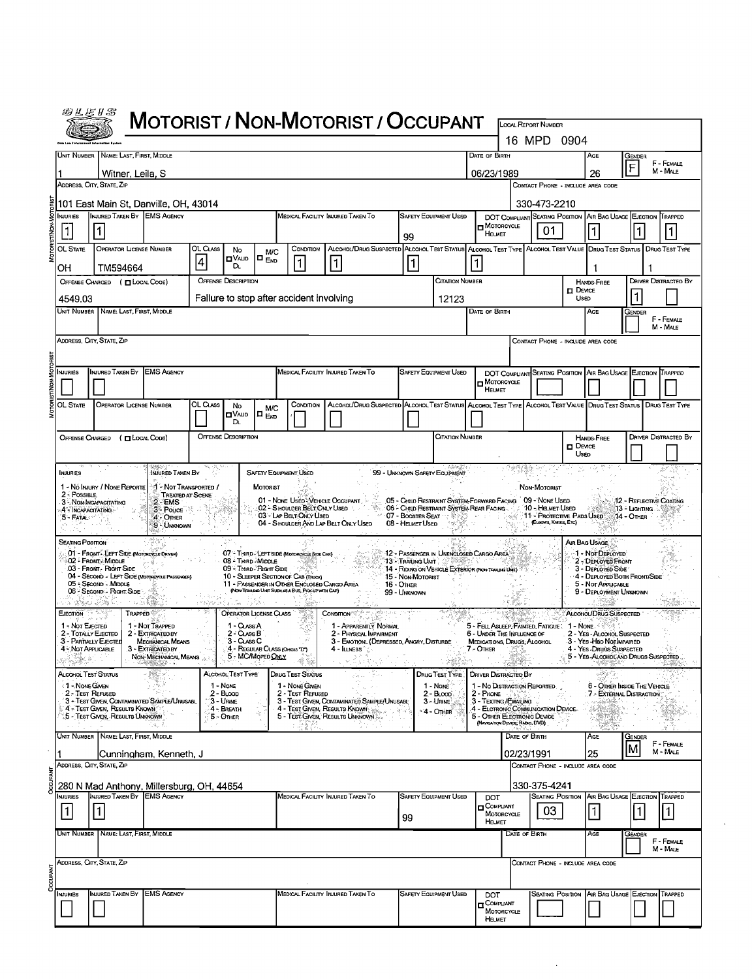|                                                                                | WLEIS                                                        |                                                                                                                                                                        |                                                               |          |                                      |                              |                                                                                                 |                                                                                                                   |                                       |                                                                                                      |                                                 |                                 |                                                   |                                                               |                                                                                              |                                    |                                |  |
|--------------------------------------------------------------------------------|--------------------------------------------------------------|------------------------------------------------------------------------------------------------------------------------------------------------------------------------|---------------------------------------------------------------|----------|--------------------------------------|------------------------------|-------------------------------------------------------------------------------------------------|-------------------------------------------------------------------------------------------------------------------|---------------------------------------|------------------------------------------------------------------------------------------------------|-------------------------------------------------|---------------------------------|---------------------------------------------------|---------------------------------------------------------------|----------------------------------------------------------------------------------------------|------------------------------------|--------------------------------|--|
|                                                                                | <b>MOTORIST / NON-MOTORIST / OCCUPANT</b>                    |                                                                                                                                                                        |                                                               |          |                                      |                              |                                                                                                 | <b>LOCAL REPORT NUMBER</b><br>16 MPD<br>0904                                                                      |                                       |                                                                                                      |                                                 |                                 |                                                   |                                                               |                                                                                              |                                    |                                |  |
|                                                                                | UNIT NUMBER   NAME: LAST, FIRST, MIDDLE<br>DATE OF BIRTH     |                                                                                                                                                                        |                                                               |          |                                      |                              |                                                                                                 |                                                                                                                   | AGE<br>Gender                         |                                                                                                      |                                                 |                                 |                                                   |                                                               |                                                                                              |                                    |                                |  |
|                                                                                | Witner, Leila, S                                             |                                                                                                                                                                        |                                                               |          |                                      |                              |                                                                                                 |                                                                                                                   |                                       | 06/23/1989                                                                                           |                                                 |                                 |                                                   | 26                                                            | F                                                                                            | F - FEMALE<br>M - MALE             |                                |  |
|                                                                                | ADDRESS, CITY, STATE, ZIP                                    |                                                                                                                                                                        |                                                               |          |                                      |                              |                                                                                                 |                                                                                                                   |                                       |                                                                                                      |                                                 |                                 | CONTACT PHONE - INCLUDE AREA CODE                 |                                                               |                                                                                              |                                    |                                |  |
|                                                                                | 101 East Main St, Danville, OH, 43014                        |                                                                                                                                                                        |                                                               |          |                                      |                              |                                                                                                 |                                                                                                                   |                                       |                                                                                                      |                                                 |                                 | 330-473-2210                                      |                                                               |                                                                                              |                                    |                                |  |
|                                                                                | <b>NJURIES</b>                                               | INJURED TAKEN BY EMS AGENCY<br>MEDICAL FACILITY INJURED TAKEN TO<br><b>SAFETY EQUIPMENT USED</b>                                                                       |                                                               |          |                                      |                              |                                                                                                 |                                                                                                                   |                                       | <b>H</b> MOTORCYCLE                                                                                  |                                                 | 01                              |                                                   | DOT COMPLIANT SEATING POSITION AIR BAG USAGE EJECTION TRAPPED |                                                                                              |                                    |                                |  |
|                                                                                | $\vert$ 1<br>OL STATE                                        | 1<br>99<br><b>OPERATOR LICENSE NUMBER</b><br>OL CLASS<br>ALCOHOL/DRUG SUSPECTED ALCOHOL TEST STATUS ALCOHOL TEST TYPE ALCOHOL TEST VALUE DRUG TEST STATUS<br>CONDITION |                                                               |          |                                      |                              |                                                                                                 |                                                                                                                   |                                       | HELMET                                                                                               |                                                 |                                 |                                                   |                                                               |                                                                                              | $\vert$ 1<br><b>DRUG TEST TYPE</b> |                                |  |
|                                                                                |                                                              | No<br><b>M/C</b><br>⊡∨∧⊔о<br>$\blacksquare$ $_{\sf{Eno}}$<br> 4 <br>$\mathbf{1}$<br>l1.<br>Dı.                                                                         |                                                               |          |                                      |                              |                                                                                                 |                                                                                                                   |                                       |                                                                                                      |                                                 |                                 |                                                   |                                                               |                                                                                              |                                    |                                |  |
| OH<br>TM594664<br><b>OFFENSE DESCRIPTION</b><br>OFFENSE CHARGED ( CLOCAL COOE) |                                                              |                                                                                                                                                                        |                                                               |          |                                      |                              |                                                                                                 |                                                                                                                   | CITATION NUMBER                       |                                                                                                      |                                                 |                                 |                                                   | <b>HANDS-FREE</b>                                             |                                                                                              | <b>DRIVER DISTRACTED BY</b>        |                                |  |
|                                                                                | Failure to stop after accident involving<br>4549.03<br>12123 |                                                                                                                                                                        |                                                               |          |                                      |                              |                                                                                                 |                                                                                                                   |                                       |                                                                                                      |                                                 |                                 |                                                   | $\Box$ Device<br>USED                                         |                                                                                              |                                    |                                |  |
| Unit Number<br>NAME: LAST, FIRST, MIDDLE                                       |                                                              |                                                                                                                                                                        |                                                               |          |                                      |                              |                                                                                                 |                                                                                                                   |                                       | DATE OF BIRTH                                                                                        |                                                 |                                 |                                                   | AGE                                                           | Gender                                                                                       | F - FEMALE                         |                                |  |
|                                                                                |                                                              | ADDRESS, CITY, STATE, ZIP                                                                                                                                              |                                                               |          |                                      |                              |                                                                                                 |                                                                                                                   |                                       |                                                                                                      |                                                 |                                 | CONTACT PHONE - INCLUDE AREA CODE                 |                                                               |                                                                                              |                                    | M - Male                       |  |
|                                                                                |                                                              |                                                                                                                                                                        |                                                               |          |                                      |                              |                                                                                                 |                                                                                                                   |                                       |                                                                                                      |                                                 |                                 |                                                   |                                                               |                                                                                              |                                    |                                |  |
|                                                                                | NJURIES                                                      | INJURED TAKEN BY                                                                                                                                                       | <b>EMS AGENCY</b>                                             |          |                                      |                              |                                                                                                 | MEDICAL FACILITY INJURED TAKEN TO                                                                                 |                                       | <b>SAFETY EQUIPMENT USED</b>                                                                         |                                                 |                                 |                                                   |                                                               | DOT COMPLIANT SEATING POSITION AIR BAG USAGE EJECTION TRAPPED                                |                                    |                                |  |
|                                                                                |                                                              |                                                                                                                                                                        |                                                               |          |                                      |                              |                                                                                                 |                                                                                                                   |                                       |                                                                                                      | MOTORCYCLE<br><b>HELMET</b>                     |                                 |                                                   |                                                               |                                                                                              |                                    |                                |  |
|                                                                                | OL STATE                                                     | <b>OPERATOR LICENSE NUMBER</b>                                                                                                                                         |                                                               | OL CLASS | No<br>⊡∨שום                          | <b>M/C</b><br>$\blacksquare$ | CONDITION                                                                                       | ALCOHOL/DRUG SUSPECTED ALCOHOL TEST STATUS ALCOHOL TEST TYPE ALCOHOL TEST VALUE DRUG TEST STATUS   DRUG TEST TYPE |                                       |                                                                                                      |                                                 |                                 |                                                   |                                                               |                                                                                              |                                    |                                |  |
|                                                                                |                                                              |                                                                                                                                                                        |                                                               |          | DL.                                  |                              |                                                                                                 |                                                                                                                   |                                       |                                                                                                      |                                                 |                                 |                                                   |                                                               |                                                                                              |                                    |                                |  |
|                                                                                | <b>OFFENSE CHARGED</b>                                       | (DLOCAL CODE)                                                                                                                                                          |                                                               |          | <b>OFFENSE DESCRIPTION</b>           |                              |                                                                                                 |                                                                                                                   |                                       | CITATION NUMBER                                                                                      |                                                 |                                 |                                                   | $\Box$ Device<br>Useo                                         | <b>HANDS-FREE</b>                                                                            |                                    | DRIVER DISTRACTED BY           |  |
|                                                                                |                                                              |                                                                                                                                                                        | INJURED TAKEN BY                                              |          |                                      |                              | <b>SAFETY EQUIPMENT USED</b>                                                                    |                                                                                                                   | 99 - UNKNOWN SAFETY EQUIPMENT         |                                                                                                      |                                                 |                                 |                                                   |                                                               |                                                                                              |                                    |                                |  |
|                                                                                | <b>INJURIES</b>                                              | 1 - Nó Injury / None Reporte                                                                                                                                           | : 1 - Not Transported /                                       |          |                                      | MOTORIST                     |                                                                                                 |                                                                                                                   |                                       |                                                                                                      |                                                 |                                 | NON-MOTORIST                                      |                                                               |                                                                                              |                                    |                                |  |
|                                                                                | 2 - Possible                                                 | 3 - NON-INCAPACITATING                                                                                                                                                 | <b>TREATED AT SCENE</b><br>$2 - EMS$                          |          |                                      |                              | 01 - NONE USED VEHICLE OCCUPANT<br>02 - S HOULDER BELT ONLY USED                                |                                                                                                                   |                                       | 05 - CHILD RESTRAINT SYSTEM-FORWARD FACING 09 - NONE USED<br>06 - CHILD RESTRAINT SYSTEM REAR FACING |                                                 |                                 | 10 - HELMET USED                                  |                                                               |                                                                                              | 13 - Цантіка                       | <b>12 - REFLECTIVE COATING</b> |  |
|                                                                                | 4 - INCAPACITATING<br>5 - FATAL **                           |                                                                                                                                                                        | 3 - Pouce<br>4 - OTHER<br>9 - Unknown                         |          |                                      |                              | 03 - LAP BELT ONLY USED                                                                         | 04 - SHOULDER AND LAP BELT ONLY USED                                                                              | 07 - BOOSTER SEAT<br>08 - HELMET USED |                                                                                                      |                                                 |                                 | 11 - PROTECTIVE PADS USED<br>(ELBOWS, KNEES, ETC) |                                                               |                                                                                              | 14 - Отнев                         |                                |  |
|                                                                                | SEATING POSITION                                             |                                                                                                                                                                        |                                                               |          |                                      |                              |                                                                                                 |                                                                                                                   |                                       |                                                                                                      |                                                 |                                 |                                                   | AIR BAG USAGE                                                 |                                                                                              |                                    |                                |  |
|                                                                                |                                                              | 01 - FRONT - LEFT SIDE (MOTORCYCLE DRIVER)<br>02 - FRONT MIDDLE                                                                                                        |                                                               |          | 08 - Third - Middle                  |                              | 07 - THIRD - LEFT SIDE (MOTOROYCLE SIDE CAR)                                                    |                                                                                                                   | 13 - TRAILING UNIT                    | 12 - PASSENGER IN UNENCLOSED CARGO AREA                                                              |                                                 |                                 |                                                   |                                                               | 1 - Not Deployed<br>2 - DEPLOYED FRONT                                                       |                                    |                                |  |
|                                                                                |                                                              | 03 - Front - Right Side<br>04 - SECOND - LEFT SIDE (MOTOROYCLE PASSENGER)                                                                                              |                                                               |          | 09 - Third - Right Side              |                              | 10 - SLEEPER SECTION OF CAB (TRUCK)                                                             |                                                                                                                   | 15 - Non-Motorist                     | 14 - RIDING ON VEHICLE EXTERIOR (NON-TRAILERT)                                                       |                                                 |                                 |                                                   |                                                               | 3 - DEPLOYED SIDE<br>4 - DEPLOYED BOTH FRONT/SIDE                                            |                                    |                                |  |
|                                                                                |                                                              | 05 - Second - Middle<br>06 - Second - Richt Side                                                                                                                       |                                                               |          |                                      |                              | 11 - PASSENGER IN OTHER ENCLOSED CARGO AREA<br>(NON-TRASING UNIT SUCH AS A BUS, PROGREWITH CAP) |                                                                                                                   | $16 -$ Othen<br>99 - Unknown          |                                                                                                      |                                                 |                                 |                                                   |                                                               | 5 - Not APPLICABLE<br>9 - DEPLOYMENT UNKNOWN                                                 |                                    |                                |  |
|                                                                                | EJECTION                                                     | <b>TRAPPED</b>                                                                                                                                                         |                                                               |          | OPERATOR LICENSE CLASS               |                              |                                                                                                 | CONDITION <sup>*</sup>                                                                                            |                                       |                                                                                                      |                                                 |                                 |                                                   |                                                               | ALCOHOL/DRUG SUSPECTED                                                                       |                                    |                                |  |
|                                                                                | 1 - Not Ejected<br>2 - TOTALLY EJECTED                       |                                                                                                                                                                        | 1 - NOT TRAPPED<br>2 - EXTRICATED BY                          |          | 1 - CLASS A<br>$2 - \text{Class } B$ |                              |                                                                                                 | 1 - APPARENTLY NORMAL<br>2 - PHYSICAL IMPARMENT                                                                   |                                       |                                                                                                      | 6 - UNDER THE INFLUENCE OF                      |                                 | 5 - FELL ASLEEP, FAINTED, FATIGUE                 | $1 - \text{None}$ .                                           | 2 - YES - ALCOHOL SUSPECTED                                                                  |                                    |                                |  |
|                                                                                | 3 - PARTIALLY EJECTED<br>4 - NOT APPLICABLE                  |                                                                                                                                                                        | MECHANICAL MEANS<br>3 - EXTRICATED BY<br>NON-MECHANICAL MEANS |          | 3 - CLASS C<br>5 - MC/MoPED ONLY     |                              | 4 - REGULAR CLASS (OHOLS "D")                                                                   | 3 - EMOTIONI (DEPRESSED, ANGRY, DISTURBE<br>4 - I⊔vess ° ∴                                                        |                                       |                                                                                                      | <b>MEDICATIONS, DRUGS, ALCOHOL</b><br>7 - Other |                                 |                                                   |                                                               | 3 - Yes - Hed NotImpared<br>4 - Yes - Drugs Suspected<br>5 - YES-ALCOHOLAND DRUGS SUSPECTED. |                                    |                                |  |
|                                                                                | Alcohol Test Status                                          |                                                                                                                                                                        |                                                               |          | ALCOHOL TEST TYPE                    |                              | DRUG TEST STATUS                                                                                | da s                                                                                                              |                                       | DRUG TEST TYPE                                                                                       | <b>DRIVER DISTRACTED BY</b>                     |                                 |                                                   |                                                               |                                                                                              |                                    |                                |  |
|                                                                                | <1 - None Given<br>2 - Test Refused                          |                                                                                                                                                                        |                                                               |          | 1 - None<br>$2 - B$ Loop             |                              | 1 - None Given<br>2 - Test Refused                                                              |                                                                                                                   |                                       | 1 - None<br>$2 - B$ LOOD                                                                             | 1 - No Distraction Reported<br>$2 -$ Phone      |                                 |                                                   |                                                               | 6 - OTHER INSIDE THE VEHICLE<br>7 - EXTERNAL DISTRACTION                                     |                                    |                                |  |
|                                                                                |                                                              | 3 - Test Given, Contaminated Sample/Unusabl<br>4 - TEST GIVEN, RESULTS KNOWN                                                                                           |                                                               |          | 3 - Urine<br>4 - Breath              |                              |                                                                                                 | 3 - TEST GIVEN, CONTAMINATED SAMPLE/UNUSABL<br>4 - TEST GIVEN, RESULTS KNOWN                                      |                                       | 3 - URINE<br>*4 - Onier                                                                              | 3 - Texting/Emaling                             |                                 | 4 - ELCTRONIC COMMUNICATION DEVICE.               |                                                               |                                                                                              |                                    |                                |  |
|                                                                                | $\alpha_1,\ldots,\alpha_n$                                   | $^\circ$ 5 - Test Civen, Results Unknown $^\circ$<br>$\alpha$                                                                                                          | 43.                                                           |          | 5 - Other                            |                              |                                                                                                 | 5 - TEST GIVEN, RESULTS UNKNOWN                                                                                   |                                       |                                                                                                      | 5 - OTHER ELECTRONIC DEVICE                     | (NAVIGATION DEVICE, RADIO, DVD) |                                                   |                                                               |                                                                                              |                                    |                                |  |
|                                                                                |                                                              | Unit Number   Name: Last, First, Middle                                                                                                                                |                                                               |          |                                      |                              |                                                                                                 |                                                                                                                   |                                       |                                                                                                      |                                                 | DATE OF BIRTH                   |                                                   |                                                               | AGE                                                                                          | Gender                             | F - FEMALE                     |  |
|                                                                                |                                                              | Address, City, State, Zip                                                                                                                                              | Cunningham, Kenneth. J                                        |          |                                      |                              |                                                                                                 |                                                                                                                   |                                       |                                                                                                      |                                                 | 02/23/1991                      | CONTACT PHONE - INCLUDE AREA CODE                 |                                                               | 25                                                                                           |                                    | M - MALE                       |  |
| 330-375-4241<br>280 N Mad Anthony, Millersburg, OH, 44654                      |                                                              |                                                                                                                                                                        |                                                               |          |                                      |                              |                                                                                                 |                                                                                                                   |                                       |                                                                                                      |                                                 |                                 |                                                   |                                                               |                                                                                              |                                    |                                |  |
|                                                                                | NJURIES                                                      | INJURED TAKEN BY EMS AGENCY                                                                                                                                            |                                                               |          |                                      |                              |                                                                                                 | MEDICAL FACILITY INJURED TAKEN TO                                                                                 |                                       | <b>SAFETY EQUIPMENT USED</b>                                                                         | DOT<br><b>D</b> COMPLIANT                       |                                 |                                                   |                                                               | <b>SEATING POSITION AIR BAG USAGE EJECTION TRAPPED</b>                                       |                                    |                                |  |
|                                                                                | 1                                                            | 1                                                                                                                                                                      |                                                               |          |                                      |                              |                                                                                                 |                                                                                                                   | 99                                    |                                                                                                      | HELMET                                          | MOTORCYCLE                      | 03                                                |                                                               | $\vert$ 1                                                                                    |                                    | 1                              |  |
| Unit Number   Name: Last, First, Middle<br>DATE OF BIRTH<br>AGE<br>Gender      |                                                              |                                                                                                                                                                        |                                                               |          |                                      |                              |                                                                                                 |                                                                                                                   | F - FEMALE                            |                                                                                                      |                                                 |                                 |                                                   |                                                               |                                                                                              |                                    |                                |  |
|                                                                                |                                                              | Address, City, State, Zip                                                                                                                                              |                                                               |          |                                      |                              |                                                                                                 |                                                                                                                   |                                       |                                                                                                      |                                                 |                                 |                                                   |                                                               |                                                                                              |                                    | M - MALE                       |  |
|                                                                                |                                                              |                                                                                                                                                                        |                                                               |          |                                      |                              |                                                                                                 |                                                                                                                   |                                       |                                                                                                      |                                                 |                                 | CONTACT PHONE - INCLUDE AREA CODE                 |                                                               |                                                                                              |                                    |                                |  |
|                                                                                | <b>NJURIES</b>                                               | INJURED TAKEN BY                                                                                                                                                       | <b>EMS AGENCY</b>                                             |          |                                      |                              |                                                                                                 | MEDICAL FACILITY INJURED TAKEN TO                                                                                 |                                       | <b>SAFETY EQUIPMENT USED</b>                                                                         | DOT                                             |                                 |                                                   |                                                               | Seating Position   Air Bag Usage   Ejection   Trapped                                        |                                    |                                |  |
|                                                                                |                                                              |                                                                                                                                                                        |                                                               |          |                                      |                              |                                                                                                 |                                                                                                                   |                                       |                                                                                                      | <b>D</b> COMPLIANT                              | MOTORCYCLE                      |                                                   |                                                               |                                                                                              |                                    |                                |  |
|                                                                                |                                                              |                                                                                                                                                                        |                                                               |          |                                      |                              |                                                                                                 |                                                                                                                   |                                       |                                                                                                      | HELMET                                          |                                 |                                                   |                                                               |                                                                                              |                                    |                                |  |